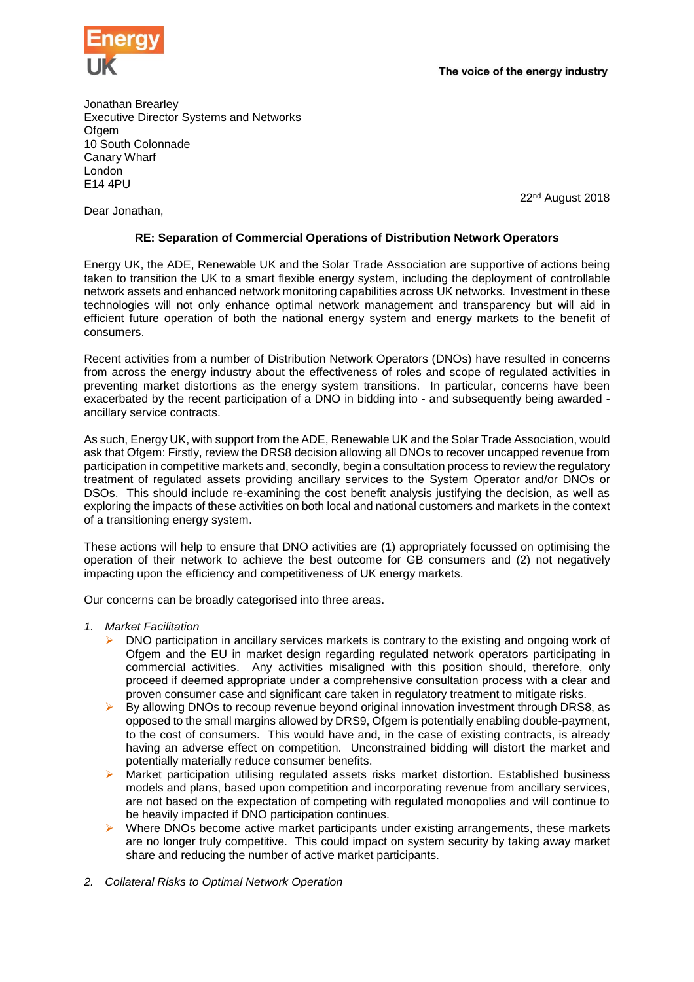

The voice of the energy industry

Jonathan Brearley Executive Director Systems and Networks **Ofgem** 10 South Colonnade Canary Wharf London E14 4PU

22nd August 2018

Dear Jonathan,

## **RE: Separation of Commercial Operations of Distribution Network Operators**

Energy UK, the ADE, Renewable UK and the Solar Trade Association are supportive of actions being taken to transition the UK to a smart flexible energy system, including the deployment of controllable network assets and enhanced network monitoring capabilities across UK networks. Investment in these technologies will not only enhance optimal network management and transparency but will aid in efficient future operation of both the national energy system and energy markets to the benefit of consumers.

Recent activities from a number of Distribution Network Operators (DNOs) have resulted in concerns from across the energy industry about the effectiveness of roles and scope of regulated activities in preventing market distortions as the energy system transitions. In particular, concerns have been exacerbated by the recent participation of a DNO in bidding into - and subsequently being awarded ancillary service contracts.

As such, Energy UK, with support from the ADE, Renewable UK and the Solar Trade Association, would ask that Ofgem: Firstly, review the DRS8 decision allowing all DNOs to recover uncapped revenue from participation in competitive markets and, secondly, begin a consultation process to review the regulatory treatment of regulated assets providing ancillary services to the System Operator and/or DNOs or DSOs. This should include re-examining the cost benefit analysis justifying the decision, as well as exploring the impacts of these activities on both local and national customers and markets in the context of a transitioning energy system.

These actions will help to ensure that DNO activities are (1) appropriately focussed on optimising the operation of their network to achieve the best outcome for GB consumers and (2) not negatively impacting upon the efficiency and competitiveness of UK energy markets.

Our concerns can be broadly categorised into three areas.

- *1. Market Facilitation*
	- ➢ DNO participation in ancillary services markets is contrary to the existing and ongoing work of Ofgem and the EU in market design regarding regulated network operators participating in commercial activities. Any activities misaligned with this position should, therefore, only proceed if deemed appropriate under a comprehensive consultation process with a clear and proven consumer case and significant care taken in regulatory treatment to mitigate risks.
	- $\triangleright$  By allowing DNOs to recoup revenue beyond original innovation investment through DRS8, as opposed to the small margins allowed by DRS9, Ofgem is potentially enabling double-payment, to the cost of consumers. This would have and, in the case of existing contracts, is already having an adverse effect on competition. Unconstrained bidding will distort the market and potentially materially reduce consumer benefits.
	- ➢ Market participation utilising regulated assets risks market distortion. Established business models and plans, based upon competition and incorporating revenue from ancillary services, are not based on the expectation of competing with regulated monopolies and will continue to be heavily impacted if DNO participation continues.
	- $\triangleright$  Where DNOs become active market participants under existing arrangements, these markets are no longer truly competitive. This could impact on system security by taking away market share and reducing the number of active market participants.
- *2. Collateral Risks to Optimal Network Operation*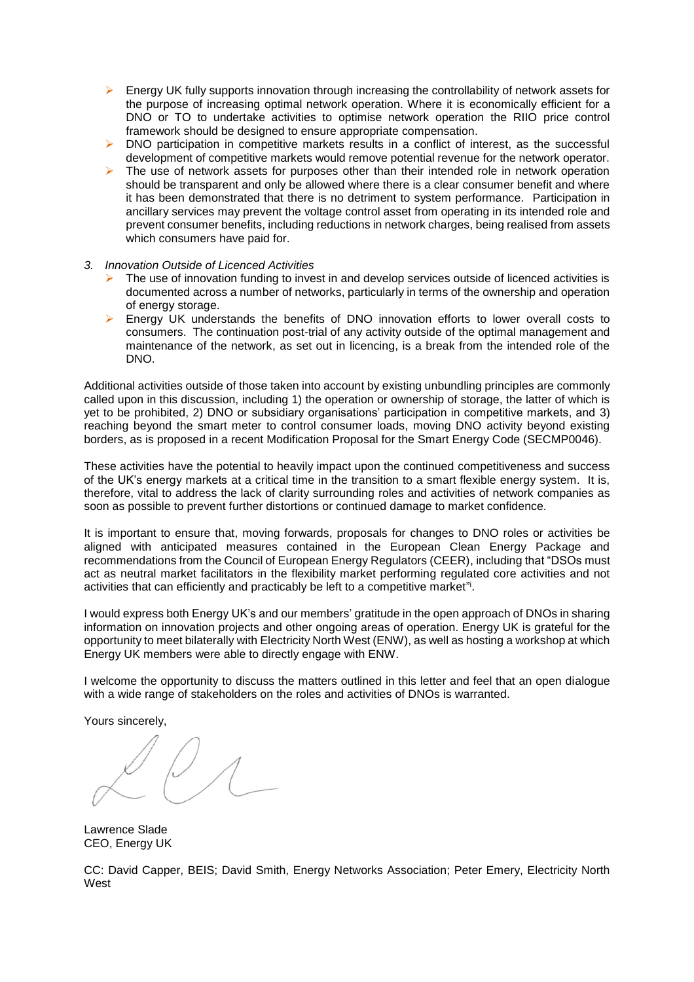- $\triangleright$  Energy UK fully supports innovation through increasing the controllability of network assets for the purpose of increasing optimal network operation. Where it is economically efficient for a DNO or TO to undertake activities to optimise network operation the RIIO price control framework should be designed to ensure appropriate compensation.
- $\triangleright$  DNO participation in competitive markets results in a conflict of interest, as the successful development of competitive markets would remove potential revenue for the network operator.
- $\triangleright$  The use of network assets for purposes other than their intended role in network operation should be transparent and only be allowed where there is a clear consumer benefit and where it has been demonstrated that there is no detriment to system performance. Participation in ancillary services may prevent the voltage control asset from operating in its intended role and prevent consumer benefits, including reductions in network charges, being realised from assets which consumers have paid for.
- *3. Innovation Outside of Licenced Activities*
	- $\triangleright$  The use of innovation funding to invest in and develop services outside of licenced activities is documented across a number of networks, particularly in terms of the ownership and operation of energy storage.
	- ➢ Energy UK understands the benefits of DNO innovation efforts to lower overall costs to consumers. The continuation post-trial of any activity outside of the optimal management and maintenance of the network, as set out in licencing, is a break from the intended role of the DNO.

Additional activities outside of those taken into account by existing unbundling principles are commonly called upon in this discussion, including 1) the operation or ownership of storage, the latter of which is yet to be prohibited, 2) DNO or subsidiary organisations' participation in competitive markets, and 3) reaching beyond the smart meter to control consumer loads, moving DNO activity beyond existing borders, as is proposed in a recent Modification Proposal for the Smart Energy Code (SECMP0046).

These activities have the potential to heavily impact upon the continued competitiveness and success of the UK's energy markets at a critical time in the transition to a smart flexible energy system. It is, therefore, vital to address the lack of clarity surrounding roles and activities of network companies as soon as possible to prevent further distortions or continued damage to market confidence.

It is important to ensure that, moving forwards, proposals for changes to DNO roles or activities be aligned with anticipated measures contained in the European Clean Energy Package and recommendations from the Council of European Energy Regulators (CEER), including that "DSOs must act as neutral market facilitators in the flexibility market performing regulated core activities and not activities that can efficiently and practicably be left to a competitive market".

I would express both Energy UK's and our members' gratitude in the open approach of DNOs in sharing information on innovation projects and other ongoing areas of operation. Energy UK is grateful for the opportunity to meet bilaterally with Electricity North West (ENW), as well as hosting a workshop at which Energy UK members were able to directly engage with ENW.

I welcome the opportunity to discuss the matters outlined in this letter and feel that an open dialogue with a wide range of stakeholders on the roles and activities of DNOs is warranted.

Yours sincerely,

Lawrence Slade CEO, Energy UK

CC: David Capper, BEIS; David Smith, Energy Networks Association; Peter Emery, Electricity North West